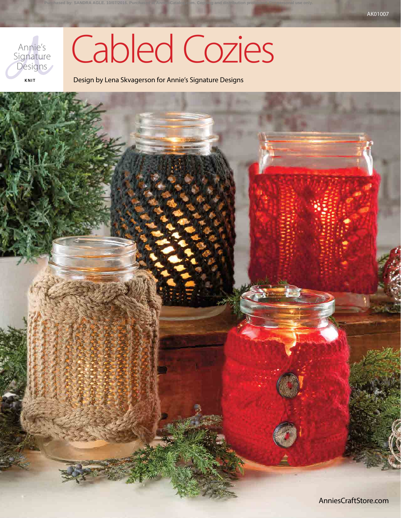

# Cabled Cozies

Design by Lena Skvagerson for Annie's Signature Designs

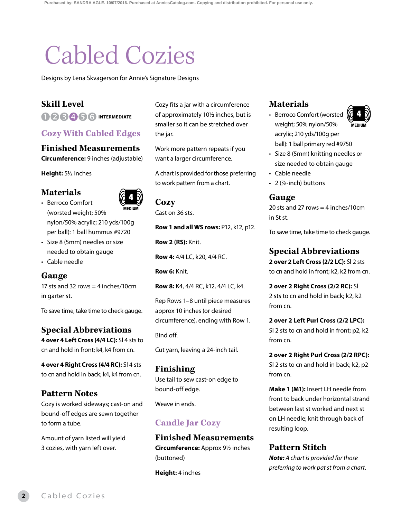## Cabled Cozies

Designs by Lena Skvagerson for Annie's Signature Designs

#### **Skill Level**

**D28456 INTERMEDIATE** 

#### **Cozy With Cabled Edges**

#### **Finished Measurements**

**Circumference:** 9 inches (adjustable)

**Height:** 51/2 inches

**Materials** • Berroco Comfort



(worsted weight; 50% nylon/50% acrylic; 210 yds/100g per ball): 1 ball hummus #9720

- Size 8 (5mm) needles or size needed to obtain gauge
- Cable needle

#### **Gauge**

17 sts and 32 rows  $=$  4 inches/10cm in garter st.

To save time, take time to check gauge.

#### **Special Abbreviations**

**4 over 4 Left Cross (4/4 LC):** Sl 4 sts to cn and hold in front; k4, k4 from cn.

**4 over 4 Right Cross (4/4 RC):** Sl 4 sts to cn and hold in back; k4, k4 from cn.

#### **Pattern Notes**

Cozy is worked sideways; cast-on and bound-off edges are sewn together to form a tube.

Amount of yarn listed will yield 3 cozies, with yarn left over.

Cozy fits a jar with a circumference of approximately 10<sup>1</sup>/<sub>2</sub> inches, but is smaller so it can be stretched over the jar.

Work more pattern repeats if you want a larger circumference.

A chart is provided for those preferring to work pattern from a chart.

#### **Cozy**

Cast on 36 sts.

**Row 1 and all WS rows:** P12, k12, p12.

**Row 2 (RS):** Knit.

**Row 4:** 4/4 LC, k20, 4/4 RC.

**Row 6:** Knit.

**Row 8:** K4, 4/4 RC, k12, 4/4 LC, k4.

Rep Rows 1–8 until piece measures approx 10 inches (or desired circumference), ending with Row 1.

Bind off.

Cut yarn, leaving a 24-inch tail.

#### **Finishing**

Use tail to sew cast-on edge to bound-off edge.

Weave in ends.

#### **Candle Jar Cozy**

#### **Finished Measurements Circumference:** Approx 91/2 inches

(buttoned)

**Height:** 4 inches

#### **Materials**

- Berroco Comfort (worsted weight; 50% nylon/50% acrylic; 210 yds/100g per ball): 1 ball primary red #9750
- Size 8 (5mm) knitting needles or size needed to obtain gauge
- Cable needle
- 2 (%-inch) buttons

#### **Gauge**

20 sts and 27 rows  $=$  4 inches/10cm in St st.

To save time, take time to check gauge.

#### **Special Abbreviations**

**2 over 2 Left Cross (2/2 LC):** Sl 2 sts to cn and hold in front; k2, k2 from cn.

**2 over 2 Right Cross (2/2 RC):** Sl 2 sts to cn and hold in back; k2, k2 from cn.

**2 over 2 Left Purl Cross (2/2 LPC):** Sl 2 sts to cn and hold in front; p2, k2 from cn.

**2 over 2 Right Purl Cross (2/2 RPC):** Sl 2 sts to cn and hold in back; k2, p2 from cn.

**Make 1 (M1):** Insert LH needle from front to back under horizontal strand between last st worked and next st on LH needle; knit through back of resulting loop.

#### **Pattern Stitch**

*Note: A chart is provided for those preferring to work pat st from a chart.*



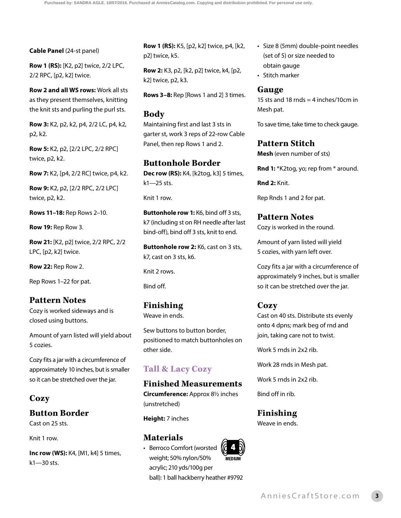#### **Cable Panel** (24-st panel)

**Row 1 (RS):** [K2, p2] twice, 2/2 LPC, 2/2 RPC, [p2, k2] twice.

**Row 2 and all WS rows:** Work all sts as they present themselves, knitting the knit sts and purling the purl sts.

**Row 3:** K2, p2, k2, p4, 2/2 LC, p4, k2, p2, k2.

**Row 5:** K2, p2, [2/2 LPC, 2/2 RPC] twice, p2, k2.

**Row 7:** K2, [p4, 2/2 RC] twice, p4, k2.

**Row 9:** K2, p2, [2/2 RPC, 2/2 LPC] twice, p2, k2.

**Rows 11–18:** Rep Rows 2–10.

**Row 19:** Rep Row 3.

**Row 21:** [K2, p2] twice, 2/2 RPC, 2/2 LPC, [p2, k2] twice.

**Row 22:** Rep Row 2.

Rep Rows 1–22 for pat.

#### **Pattern Notes**

Cozy is worked sideways and is closed using buttons.

Amount of yarn listed will yield about 5 cozies.

Cozy fits a jar with a circumference of approximately 10 inches, but is smaller so it can be stretched over the jar.

#### **Cozy**

#### **Button Border**

Cast on 25 sts.

Knit 1 row.

**Inc row (WS):** K4, [M1, k4] 5 times, k1—30 sts.

**Row 1 (RS):** K5, [p2, k2] twice, p4, [k2, p2] twice, k5.

**Row 2:** K3, p2, [k2, p2] twice, k4, [p2, k2] twice, p2, k3.

**Rows 3–8:** Rep [Rows 1 and 2] 3 times.

#### **Body**

Maintaining first and last 3 sts in garter st, work 3 reps of 22-row Cable Panel, then rep Rows 1 and 2.

#### **Buttonhole Border**

**Dec row (RS):** K4, [k2tog, k3] 5 times, k1—25 sts.

Knit 1 row.

**Buttonhole row 1:** K6, bind off 3 sts, k7 (including st on RH needle after last bind-off), bind off 3 sts, knit to end.

**Buttonhole row 2:** K6, cast on 3 sts, k7, cast on 3 sts, k6.

Knit 2 rows.

Bind off.

#### **Finishing**

Weave in ends.

Sew buttons to button border, positioned to match buttonholes on other side.

#### **Tall & Lacy Cozy**

#### **Finished Measurements**

**Circumference:** Approx 81/2 inches (unstretched)

**Height:** 7 inches

#### **Materials**

• Berroco Comfort (worsted weight; 50% nylon/50% acrylic; 210 yds/100g per ball): 1 ball hackberry heather #9792

- Size 8 (5mm) double-point needles (set of 5) or size needed to obtain gauge
- Stitch marker

#### **Gauge**

15 sts and 18 rnds  $=$  4 inches/10cm in Mesh pat.

To save time, take time to check gauge.

#### **Pattern Stitch**

**Mesh** (even number of sts)

**Rnd 1:** \*K2tog, yo; rep from \* around.

**Rnd 2:** Knit.

Rep Rnds 1 and 2 for pat.

## **Pattern Notes**

Cozy is worked in the round.

Amount of yarn listed will yield 5 cozies, with yarn left over.

Cozy fits a jar with a circumference of approximately 9 inches, but is smaller so it can be stretched over the jar.

#### **Cozy**

Cast on 40 sts. Distribute sts evenly onto 4 dpns; mark beg of rnd and join, taking care not to twist.

Work 5 rnds in 2x2 rib.

Work 28 rnds in Mesh pat.

Work 5 rnds in 2x2 rib.

Bind off in rib.

#### **Finishing**

Weave in ends.